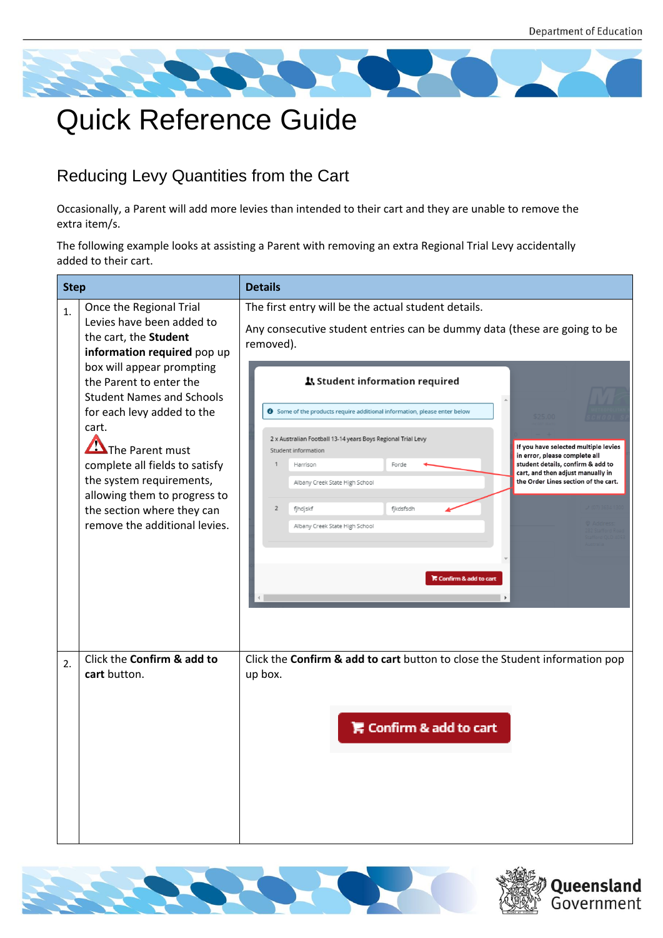

## Quick Reference Guide

## Reducing Levy Quantities from the Cart

Occasionally, a Parent will add more levies than intended to their cart and they are unable to remove the extra item/s.

The following example looks at assisting a Parent with removing an extra Regional Trial Levy accidentally added to their cart.

| <b>Step</b> |                                                                                                                                                                                                                                                                                                                 | <b>Details</b>                                                                                                                                                                                                                                                                                                                                                                                                                                                                                                                                                                             |  |  |  |
|-------------|-----------------------------------------------------------------------------------------------------------------------------------------------------------------------------------------------------------------------------------------------------------------------------------------------------------------|--------------------------------------------------------------------------------------------------------------------------------------------------------------------------------------------------------------------------------------------------------------------------------------------------------------------------------------------------------------------------------------------------------------------------------------------------------------------------------------------------------------------------------------------------------------------------------------------|--|--|--|
| 1.          | Once the Regional Trial<br>Levies have been added to<br>the cart, the Student<br>information required pop up                                                                                                                                                                                                    | The first entry will be the actual student details.<br>Any consecutive student entries can be dummy data (these are going to be<br>removed).                                                                                                                                                                                                                                                                                                                                                                                                                                               |  |  |  |
|             | box will appear prompting<br>the Parent to enter the<br><b>Student Names and Schools</b><br>for each levy added to the<br>cart.<br>The Parent must<br>complete all fields to satisfy<br>the system requirements,<br>allowing them to progress to<br>the section where they can<br>remove the additional levies. | 1 Student information required<br><b>O</b> Some of the products require additional information, please enter below<br>2 x Australian Football 13-14 years Boys Regional Trial Levy<br>If you have selected multiple levies<br>Student information<br>in error, please complete all<br>student details, confirm & add to<br>$\mathbf{1}$<br>Harrison<br>Forde<br>cart, and then adjust manually in<br>the Order Lines section of the cart.<br>Albany Creek State High School<br>$\overline{2}$<br>fjhdjskf<br>fikdsfsdh<br>Albany Creek State High School<br><b>F</b> Confirm & add to cart |  |  |  |
| 2.          | Click the Confirm & add to<br>cart button.                                                                                                                                                                                                                                                                      | Click the Confirm & add to cart button to close the Student information pop<br>up box.<br><b>E</b> Confirm & add to cart                                                                                                                                                                                                                                                                                                                                                                                                                                                                   |  |  |  |



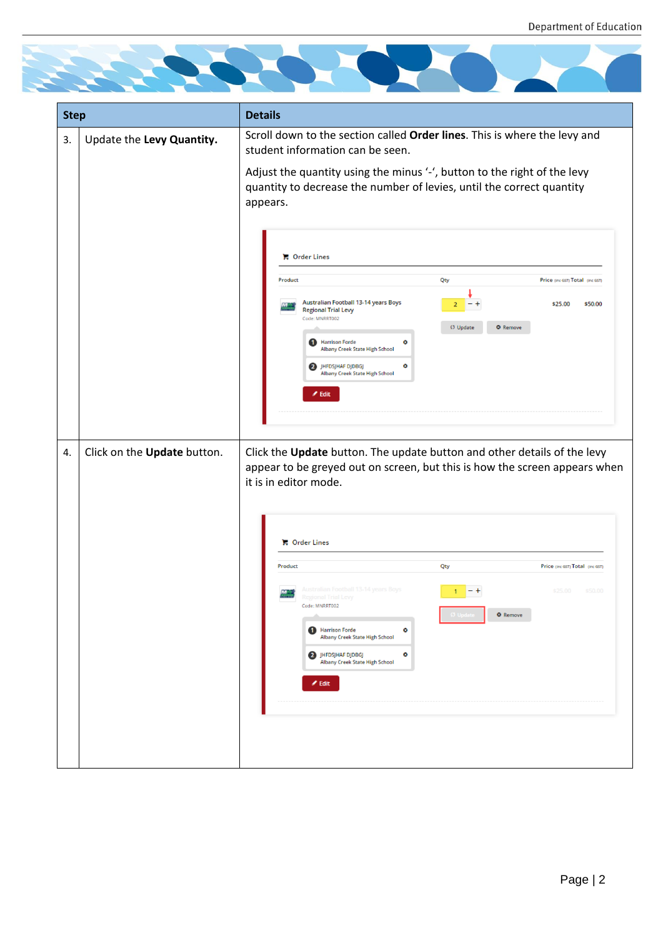

| <b>Step</b> |                             | <b>Details</b>                                                                                                                                                                                                                                                 |  |  |  |
|-------------|-----------------------------|----------------------------------------------------------------------------------------------------------------------------------------------------------------------------------------------------------------------------------------------------------------|--|--|--|
| 3.          | Update the Levy Quantity.   | Scroll down to the section called Order lines. This is where the levy and<br>student information can be seen.                                                                                                                                                  |  |  |  |
|             |                             | Adjust the quantity using the minus '-', button to the right of the levy<br>quantity to decrease the number of levies, until the correct quantity<br>appears.                                                                                                  |  |  |  |
|             |                             | <b>C</b> Order Lines                                                                                                                                                                                                                                           |  |  |  |
|             |                             | Product<br>Qty<br>Price (inc GST) Total (inc GST)<br>Australian Football 13-14 years Boys<br>\$25.00<br>\$50.00<br><b>Regional Trial Levy</b><br>Code: MNRRT002<br>Ø Update<br><b>O</b> Remove<br>Harrison Forde<br>٥<br><b>Albany Creek State High School</b> |  |  |  |
|             |                             | 2 JHFDSJHAF DJDBGJ<br>۰<br><b>Albany Creek State High School</b><br>$\angle$ Edit                                                                                                                                                                              |  |  |  |
| 4.          | Click on the Update button. | Click the Update button. The update button and other details of the levy<br>appear to be greyed out on screen, but this is how the screen appears when<br>it is in editor mode.                                                                                |  |  |  |
|             |                             | <b>C</b> Order Lines                                                                                                                                                                                                                                           |  |  |  |
|             |                             | Product<br>Qty<br>Price (Inc GST) Total (Inc GST)                                                                                                                                                                                                              |  |  |  |
|             |                             | Australian Football 13-14 years Boys<br>\$25.00<br>\$50.00<br>Regional Trial Levy<br>Code: MNRRT002<br><b>O</b> Remove<br><b>1</b> Harrison Forde<br>۰<br>Albany Creek State High School<br>2 JHFDSJHAF DJDBGJ<br>٥<br>Albany Creek State High School          |  |  |  |
|             |                             | $\blacktriangleright$ Edit                                                                                                                                                                                                                                     |  |  |  |
|             |                             |                                                                                                                                                                                                                                                                |  |  |  |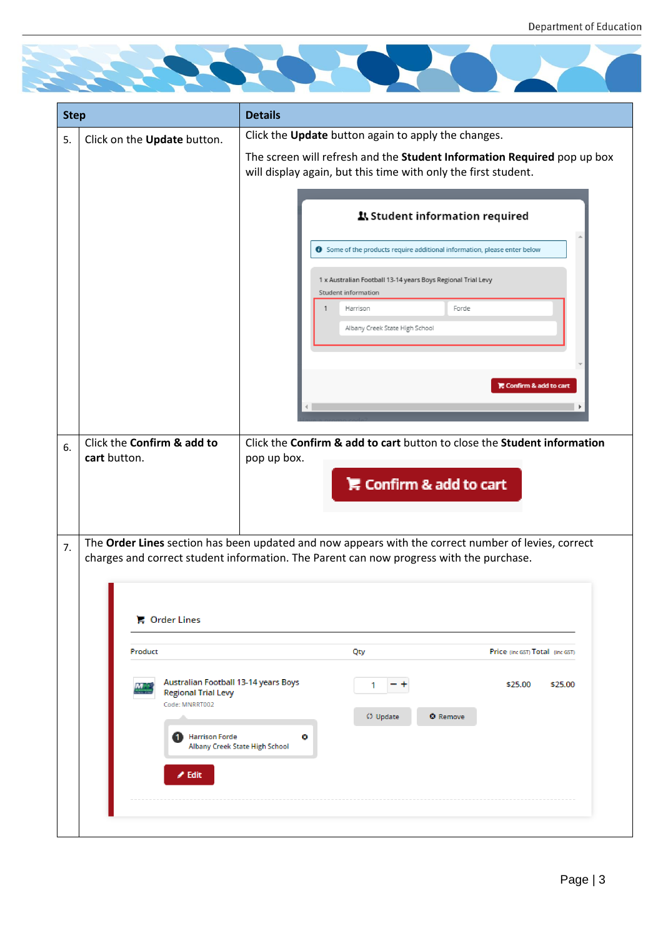

| <b>Step</b> |                                                                                                                                       | <b>Details</b>                                                                                                                                                                                                                                                                            |  |  |
|-------------|---------------------------------------------------------------------------------------------------------------------------------------|-------------------------------------------------------------------------------------------------------------------------------------------------------------------------------------------------------------------------------------------------------------------------------------------|--|--|
| 5.          | Click on the Update button.                                                                                                           | Click the Update button again to apply the changes.<br>The screen will refresh and the Student Information Required pop up box<br>will display again, but this time with only the first student.                                                                                          |  |  |
|             |                                                                                                                                       | ደ Student information required<br><b>O</b> Some of the products require additional information, please enter below<br>1 x Australian Football 13-14 years Boys Regional Trial Levy<br>Student information<br>Forde<br>Harrison<br>Albany Creek State High School<br>Confirm & add to cart |  |  |
| 6.          | Click the Confirm & add to<br>cart button.                                                                                            | Click the Confirm & add to cart button to close the Student information<br>pop up box.<br>Confirm & add to cart                                                                                                                                                                           |  |  |
| 7.          | <b>■ Order Lines</b>                                                                                                                  | The Order Lines section has been updated and now appears with the correct number of levies, correct<br>charges and correct student information. The Parent can now progress with the purchase.                                                                                            |  |  |
|             | Product                                                                                                                               | Price (inc GST) Total (inc GST)<br>Qty                                                                                                                                                                                                                                                    |  |  |
|             | Australian Football 13-14 years Boys<br><b>Regional Trial Levy</b><br>Code: MNRRT002<br><b>B</b> Harrison Forde<br>$\mathscr{I}$ Edit | \$25.00<br>\$25.00<br>1<br>C) Update<br><b>O</b> Remove<br>۰<br>Albany Creek State High School                                                                                                                                                                                            |  |  |